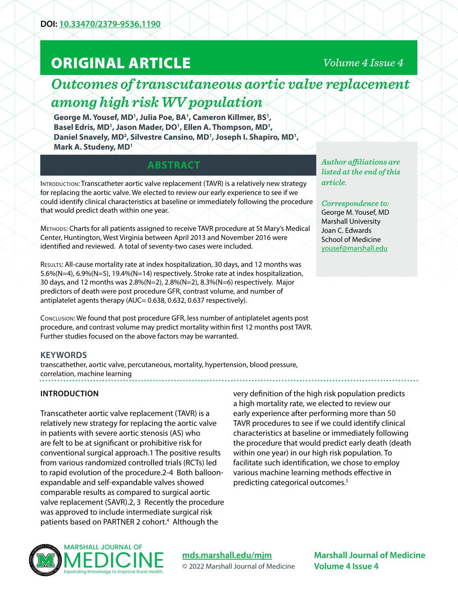# ORIGINAL ARTICLE

## *Volume 4 Issue 4*

## *Outcomes of transcutaneous aortic valve replacement among high risk WV population*

George M. Yousef, MD<sup>1</sup>, Julia Poe, BA<sup>1</sup>, Cameron Killmer, BS<sup>1</sup>, Basel Edris, MD<sup>1</sup>, Jason Mader, DO<sup>1</sup>, Ellen A. Thompson, MD<sup>1</sup>, Daniel Snavely, MD<sup>2</sup>, Silvestre Cansino, MD<sup>1</sup>, Joseph I. Shapiro, MD<sup>1</sup>, **Mark A. Studeny, MD1**

## **ABSTRACT**

Introduction: Transcatheter aortic valve replacement (TAVR) is a relatively new strategy for replacing the aortic valve. We elected to review our early experience to see if we could identify clinical characteristics at baseline or immediately following the procedure that would predict death within one year.

Methods: Charts for all patients assigned to receive TAVR procedure at St Mary's Medical Center, Huntington, West Virginia between April 2013 and November 2016 were identified and reviewed. A total of seventy-two cases were included.

Results: All-cause mortality rate at index hospitalization, 30 days, and 12 months was 5.6%(N=4), 6.9%(N=5), 19.4%(N=14) respectively. Stroke rate at index hospitalization, 30 days, and 12 months was 2.8%(N=2), 2.8%(N=2), 8.3%(N=6) respectively. Major predictors of death were post procedure GFR, contrast volume, and number of antiplatelet agents therapy (AUC= 0.638, 0.632, 0.637 respectively).

Conclusion: We found that post procedure GFR, less number of antiplatelet agents post procedure, and contrast volume may predict mortality within first 12 months post TAVR. Further studies focused on the above factors may be warranted.

## **KEYWORDS**

transcathether, aortic valve, percutaneous, mortality, hypertension, blood pressure, correlation, machine learning

## **INTRODUCTION**

Transcatheter aortic valve replacement (TAVR) is a relatively new strategy for replacing the aortic valve in patients with severe aortic stenosis (AS) who are felt to be at significant or prohibitive risk for conventional surgical approach.1 The positive results from various randomized controlled trials (RCTs) led to rapid evolution of the procedure.2-4 Both balloonexpandable and self-expandable valves showed comparable results as compared to surgical aortic valve replacement (SAVR).2, 3 Recently the procedure was approved to include intermediate surgical risk patients based on PARTNER 2 cohort.<sup>4</sup> Although the

very definition of the high risk population predicts a high mortality rate, we elected to review our early experience after performing more than 50 TAVR procedures to see if we could identify clinical characteristics at baseline or immediately following the procedure that would predict early death (death within one year) in our high risk population. To facilitate such identification, we chose to employ various machine learning methods effective in predicting categorical outcomes.<sup>5</sup>



**[mds.marshall.edu/mjm](https://mds.marshall.edu/mjm/)** © 2022 Marshall Journal of Medicine

**Marshall Journal of Medicine Volume 4 Issue 4**

*Author affiliations are listed at the end of this article.* 

## *Correspondence to:*

George M. Yousef, MD Marshall University Joan C. Edwards School of Medicine [yousef@marshall.edu](mailto:yousef%40marshall.edu?subject=)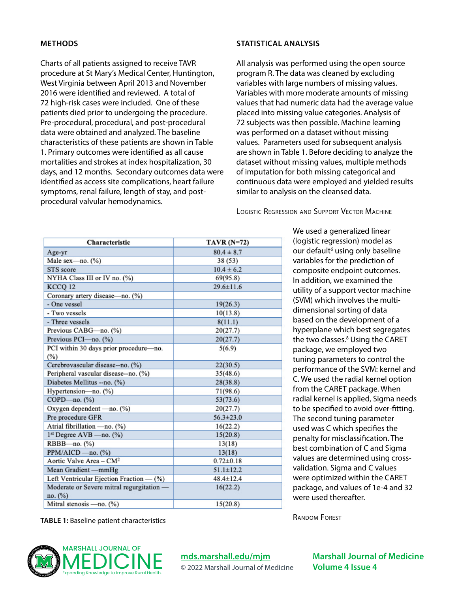### **METHODS**

Charts of all patients assigned to receive TAVR procedure at St Mary's Medical Center, Huntington, West Virginia between April 2013 and November 2016 were identified and reviewed. A total of 72 high-risk cases were included. One of these patients died prior to undergoing the procedure. Pre-procedural, procedural, and post-procedural data were obtained and analyzed. The baseline characteristics of these patients are shown in Table 1. Primary outcomes were identified as all cause mortalities and strokes at index hospitalization, 30 days, and 12 months. Secondary outcomes data were identified as access site complications, heart failure symptoms, renal failure, length of stay, and postprocedural valvular hemodynamics.

Characteristic

### **STATISTICAL ANALYSIS**

All analysis was performed using the open source program R. The data was cleaned by excluding variables with large numbers of missing values. Variables with more moderate amounts of missing values that had numeric data had the average value placed into missing value categories. Analysis of 72 subjects was then possible. Machine learning was performed on a dataset without missing values. Parameters used for subsequent analysis are shown in Table 1. Before deciding to analyze the dataset without missing values, multiple methods of imputation for both missing categorical and continuous data were employed and yielded results similar to analysis on the cleansed data.

Logistic Regression and Support Vector Machine

We used a generalized linear (logistic regression) model as our default<sup>6</sup> using only baseline variables for the prediction of composite endpoint outcomes. In addition, we examined the utility of a support vector machine (SVM) which involves the multidimensional sorting of data based on the development of a hyperplane which best segregates the two classes.<sup>8</sup> Using the CARET package, we employed two tuning parameters to control the performance of the SVM: kernel and C. We used the radial kernel option from the CARET package. When radial kernel is applied, Sigma needs to be specified to avoid over-fitting. The second tuning parameter used was C which specifies the penalty for misclassification. The best combination of C and Sigma values are determined using crossvalidation. Sigma and C values were optimized within the CARET package, and values of 1e-4 and 32 were used thereafter.

| <b>TABLE 1: Baseline patient characteristics</b> |  |
|--------------------------------------------------|--|
|--------------------------------------------------|--|

™



| $\Delta$ gc-yi                                       | $00.4 \pm 0.1$  | uciuuit u.                    |
|------------------------------------------------------|-----------------|-------------------------------|
| Male sex-no. (%)                                     | 38 (53)         | variables for th              |
| STS score                                            | $10.4 \pm 6.2$  | composite en                  |
| NYHA Class III or IV no. (%)                         | 69(95.8)        | In addition, we               |
| KCCQ 12                                              | $29.6 \pm 11.6$ | utility of a sup              |
| Coronary artery disease-no. (%)                      |                 | (SVM) which ir                |
| - One vessel                                         | 19(26.3)        |                               |
| - Two vessels                                        | 10(13.8)        | dimensional s                 |
| - Three vessels                                      | 8(11.1)         | based on the o                |
| Previous CABG-no. (%)                                | 20(27.7)        | hyperplane wl                 |
| Previous PCI-no. (%)                                 | 20(27.7)        | the two classe                |
| PCI within 30 days prior procedure-no.               | 5(6.9)          | package, we e                 |
| (%)                                                  |                 | tuning parame                 |
| Cerebrovascular disease--no. (%)                     | 22(30.5)        | performance o                 |
| Peripheral vascular disease--no. (%)                 | 35(48.6)        | C. We used the                |
| Diabetes Mellitus -- no. (%)                         | 28(38.8)        | from the CARE                 |
| Hypertension-no. (%)                                 | 71(98.6)        |                               |
| COPD-no. (%)                                         | 53(73.6)        | radial kernel is              |
| Oxygen dependent - no. (%)                           | 20(27.7)        | to be specified               |
| Pre procedure GFR                                    | $56.3 \pm 23.0$ | The second tu                 |
| Atrial fibrillation - no. (%)                        | 16(22.2)        | used was C wh                 |
| $1st$ Degree AVB - no. $(\%)$                        | 15(20.8)        | penalty for mi                |
| RBBB-no. (%)                                         | 13(18)          | best combinat                 |
| PPM/AICD - no. (%)                                   | 13(18)          | values are det                |
| Aortic Valve Area – $CM2$                            | $0.72 \pm 0.18$ |                               |
| Mean Gradient-mmHg                                   | $51.1 \pm 12.2$ | validation. Sig               |
| Left Ventricular Ejection Fraction — (%)             | $48.4 \pm 12.4$ | were optimize                 |
| Moderate or Severe mitral regurgitation -<br>no. (%) | 16(22.2)        | package, and<br>were used the |
| Mitral stenosis - no. (%)                            | 15(20.8)        |                               |

**[mds.marshall.edu/mjm](https://mds.marshall.edu/mjm/)**

TAVR $(N=72)$  $001107$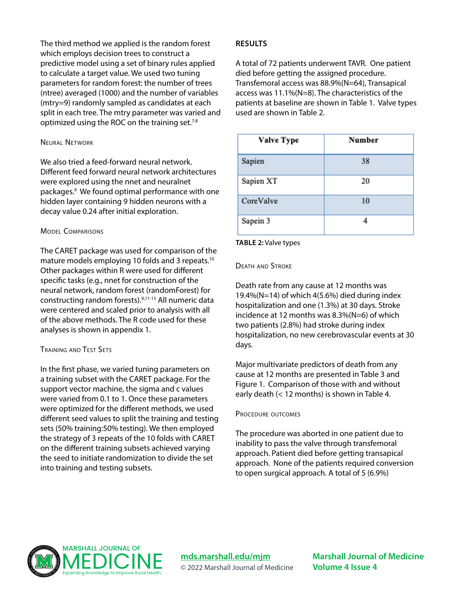The third method we applied is the random forest which employs decision trees to construct a predictive model using a set of binary rules applied to calculate a target value. We used two tuning parameters for random forest: the number of trees (ntree) averaged (1000) and the number of variables (mtry=9) randomly sampled as candidates at each split in each tree. The mtry parameter was varied and optimized using the ROC on the training set.<sup>7.8</sup>

#### Neural Network

We also tried a feed-forward neural network. Different feed forward neural network architectures were explored using the nnet and neuralnet packages.9 We found optimal performance with one hidden layer containing 9 hidden neurons with a decay value 0.24 after initial exploration.

### Model Comparisons

The CARET package was used for comparison of the mature models employing 10 folds and 3 repeats.10 Other packages within R were used for different specific tasks (e.g., nnet for construction of the neural network, random forest (randomForest) for constructing random forests).9,11-15 All numeric data were centered and scaled prior to analysis with all of the above methods. The R code used for these analyses is shown in appendix 1.

## Training and Test Sets

In the first phase, we varied tuning parameters on a training subset with the CARET package. For the support vector machine, the sigma and c values were varied from 0.1 to 1. Once these parameters were optimized for the different methods, we used different seed values to split the training and testing sets (50% training:50% testing). We then employed the strategy of 3 repeats of the 10 folds with CARET on the different training subsets achieved varying the seed to initiate randomization to divide the set into training and testing subsets.

## **RESULTS**

A total of 72 patients underwent TAVR. One patient died before getting the assigned procedure. Transfemoral access was 88.9%(N=64), Transapical access was 11.1%(N=8). The characteristics of the patients at baseline are shown in Table 1. Valve types used are shown in Table 2.

| <b>Valve Type</b> | Number |
|-------------------|--------|
| Sapien            | 38     |
| Sapien XT         | 20     |
| CoreValve         | 10     |
| Sapein 3          |        |

#### **TABLE 2:** Valve types

#### Death and Stroke

Death rate from any cause at 12 months was 19.4%( $N=14$ ) of which 4(5.6%) died during index hospitalization and one (1.3%) at 30 days. Stroke incidence at 12 months was 8.3%(N=6) of which two patients (2.8%) had stroke during index hospitalization, no new cerebrovascular events at 30 days.

Major multivariate predictors of death from any cause at 12 months are presented in Table 3 and Figure 1. Comparison of those with and without early death (< 12 months) is shown in Table 4.

#### PROCEDURE OUTCOMES

The procedure was aborted in one patient due to inability to pass the valve through transfemoral approach. Patient died before getting transapical approach. None of the patients required conversion to open surgical approach. A total of 5 (6.9%)



**[mds.marshall.edu/mjm](https://mds.marshall.edu/mjm/)** © 2022 Marshall Journal of Medicine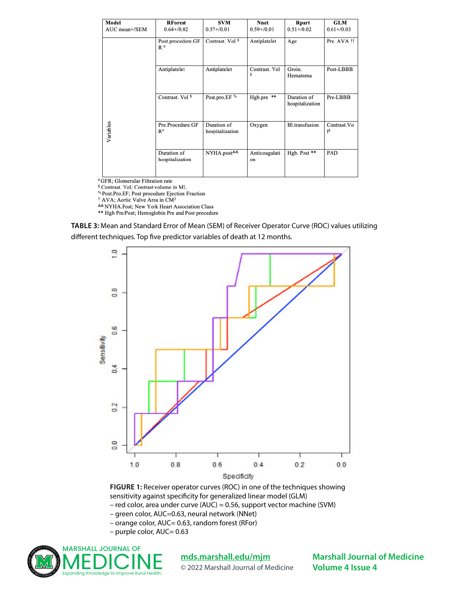| Model         | <b>RForest</b>                 | <b>SVM</b>                      | Nnet                | Rpart                          | <b>GLM</b>                     |
|---------------|--------------------------------|---------------------------------|---------------------|--------------------------------|--------------------------------|
| AUC mean+/SEM | $0.64 + 0.02$                  | $0.57 + 0.01$                   | $0.59 + / 0.01$     | $0.51 + 0.02$                  | $0.61 + / 0.03$                |
|               | Post.procedure.GF<br>$R$ #     | Contrast. Vol <sup>\$</sup>     | Antiplatelet        | Age                            | Pre. AVA !!                    |
|               | Antiplatelet                   | Antiplatelet                    | Contrast. Vol<br>s  | Groin.<br>Hematoma             | Post-LBBB                      |
|               | Contrast. Vol <sup>\$</sup>    | Post.pro.EF <sup>%</sup>        | Hgb.pre **          | Duration of<br>hospitalization | Pre-LBBB                       |
| Variables     | Pre.Procedure.GF<br>$R^{\#}$   | Duration of<br>hospitalization  | Oxygen              | <b>Bl.transfusion</b>          | Contrast. Vo<br>1 <sup>S</sup> |
|               | Duration of<br>hospitalization | NYHA.post <sup>&amp;&amp;</sup> | Anticoagulati<br>on | Hgb. Post **                   | PAD                            |

#GFR; Glomerular Filtration rate

<sup>\$</sup> Contrast. Vol; Contrast volume in ML

<sup>%</sup> Post.Pro.EF; Post procedure Ejection Fraction

" AVA; Aortic Valve Area in CM<sup>2</sup>

&& NYHA.Post; New York Heart Association Class

\*\* Hgb Pre/Post; Hemoglobin Pre and Post procedure

**TABLE 3:** Mean and Standard Error of Mean (SEM) of Receiver Operator Curve (ROC) values utilizing different techniques. Top five predictor variables of death at 12 months.



**FIGURE 1:** Receiver operator curves (ROC) in one of the techniques showing sensitivity against specificity for generalized linear model (GLM) – red color, area under curve (AUC) = 0.56, support vector machine (SVM)

– green color, AUC=0.63, neural network (NNet)

– orange color, AUC= 0.63, random forest (RFor)

– purple color, AUC= 0.63



## **[mds.marshall.edu/mjm](https://mds.marshall.edu/mjm/)**

© 2022 Marshall Journal of Medicine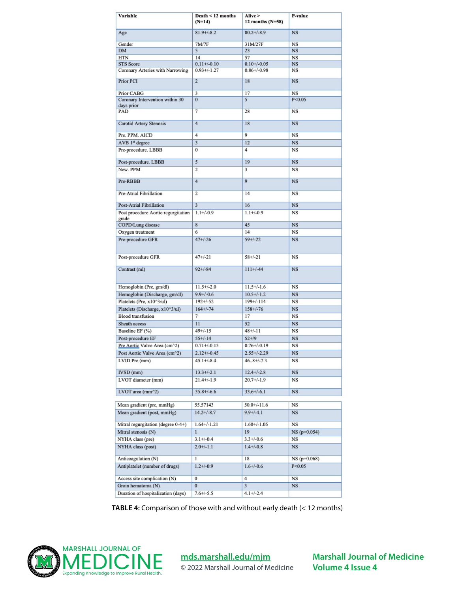| Variable                                      | Death $\leq 12$ months<br>$(N=14)$ | Alive ><br>12 months $(N=58)$ | P-value       |
|-----------------------------------------------|------------------------------------|-------------------------------|---------------|
| Age                                           | $81.9 + (-8.2)$                    | $80.2 + (-8.9)$               | <b>NS</b>     |
| Gender                                        | 7M/7F                              | 31M/27F                       | <b>NS</b>     |
| <b>DM</b>                                     | 5                                  | 23                            | <b>NS</b>     |
| <b>HTN</b>                                    | 14                                 | 57                            | <b>NS</b>     |
| <b>STS Score</b>                              | $0.11 + (-0.10)$                   | $0.10 + (-0.05)$              | <b>NS</b>     |
| Coronary Arteries with Narrowing              | $0.93 + (-1.27)$                   | $0.86 + (-0.98)$              | <b>NS</b>     |
| Prior PCI                                     | $\overline{2}$                     | 18                            | <b>NS</b>     |
| Prior CABG                                    | 3                                  | 17                            | <b>NS</b>     |
| Coronary Intervention within 30<br>days prior | $\bf{0}$                           | 5                             | P < 0.05      |
| PAD                                           | 7                                  | 28                            | <b>NS</b>     |
| <b>Carotid Artery Stenosis</b>                | 4                                  | 18                            | <b>NS</b>     |
| Pre. PPM. AICD                                | 4                                  | 9                             | <b>NS</b>     |
| AVB 1st degree                                | 3                                  | 12                            | <b>NS</b>     |
| Pre-procedure. LBBB                           | 0                                  | 4                             | <b>NS</b>     |
| Post-procedure. LBBB                          | 5                                  | 19                            | <b>NS</b>     |
| New. PPM                                      | 2                                  | 3                             | <b>NS</b>     |
| Pre-RBBB                                      | $\overline{4}$                     | 9                             | <b>NS</b>     |
| Pre-Atrial Fibrillation                       | 2                                  | 14                            | NS            |
| Post-Atrial Fibrillation                      | 3                                  | 16                            | <b>NS</b>     |
| Post procedure Aortic regurgitation<br>grade  | $1.1 + (-0.9)$                     | $1.1 + (-0.9)$                | NS            |
| COPD/Lung disease                             | 8                                  | 45                            | <b>NS</b>     |
| Oxygen treatment                              | 6                                  | 14                            | <b>NS</b>     |
| Pre-procedure GFR                             | $47 + 26$                          | $59+/-22$                     | <b>NS</b>     |
|                                               |                                    |                               |               |
| Post-procedure GFR                            | $47 + (-21)$                       | $58 + (-21)$                  | NS            |
| Contrast (ml)                                 | $92 + 1 - 84$                      | $111+/44$                     | <b>NS</b>     |
| Hemoglobin (Pre, gm/dl)                       | $11.5 + (-2.0)$                    | $11.5 +/-1.6$                 | <b>NS</b>     |
| Hemoglobin (Discharge, gm/dl)                 | $9.9 + / -0.6$                     | $10.5 +/-1.2$                 | $_{\rm NS}$   |
| Platelets (Pre, x10^3/ul)                     | $192 + (-52)$                      | $199 + / -114$                | <b>NS</b>     |
| Platelets (Discharge, x10^3/ul)               | $164 + (-74)$                      | $158 + / -76$                 | <b>NS</b>     |
| <b>Blood</b> transfusion                      | 7                                  | 17                            | <b>NS</b>     |
| Sheath access                                 | 11                                 | 52                            | <b>NS</b>     |
| Baseline EF (%)                               | $49 + (-15)$                       | $48 + / -11$                  | <b>NS</b>     |
| Post-procedure EF                             | $55+/-14$                          | $52 + 19$                     | <b>NS</b>     |
| Pre Aortic Valve Area (cm^2)                  | $0.71 + (-0.15)$                   | $0.76 + (-0.19)$              | <b>NS</b>     |
| Post Aortic Valve Area (cm^2)                 | $2.12 + / -0.45$                   | $2.55 + (-2.29)$              | NS            |
| LVID Pre (mm)                                 | $45.1 + (-8.4)$                    | $46.8 + (-7.3)$               | NS            |
| IVSD (mm)                                     | $13.3 + (-2.1)$                    | $12.4 + (-2.8)$               | <b>NS</b>     |
| LVOT diameter (mm)                            | $21.4 +/-1.9$                      | $20.7 +/-1.9$                 | NS            |
| LVOT area (mm^2)                              | $35.8 + (-6.6)$                    | $33.6 + (-6.1)$               | NS            |
| Mean gradient (pre, mmHg)                     | 55.57143                           | $50.0 +/-11.6$                | NS            |
| Mean gradient (post, mmHg)                    | $14.2 + (-8.7)$                    | $9.9 + (-4.1)$                | <b>NS</b>     |
| Mitral regurgitation (degree 0-4+)            | $1.64 + / -1.21$                   | $1.60 + / -1.05$              | <b>NS</b>     |
| Mitral stenosis (N)                           | 1                                  | 19                            | $NS(p=0.054)$ |
| NYHA class (pre)                              | $3.1 + (-0.4)$                     | $3.3 + (-0.6)$                | <b>NS</b>     |
| NYHA class (post)                             | $2.0 + / -1.1$                     | $1.4 + (-0.8)$                | $_{\rm NS}$   |
| Anticoagulation (N)                           | 1                                  | 18                            | $NS(p=0.068)$ |
| Antiplatelet (number of drugs)                | $1.2 + (-0.9)$                     | $1.6 + / -0.6$                | P < 0.05      |
| Access site complication (N)                  | $\bf{0}$                           | 4                             | <b>NS</b>     |
| Groin hematoma (N)                            | $\bf{0}$                           | 3                             | <b>NS</b>     |
| Duration of hospitalization (days)            | $7.6 + (-5.5)$                     | $4.1 + (-2.4)$                |               |

**TABLE 4:** Comparison of those with and without early death (< 12 months)



**[mds.marshall.edu/mjm](https://mds.marshall.edu/mjm/)** © 2022 Marshall Journal of Medicine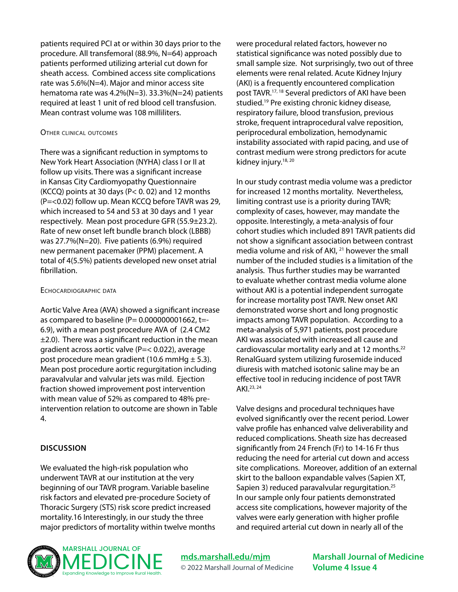patients required PCI at or within 30 days prior to the procedure. All transfemoral (88.9%, N=64) approach patients performed utilizing arterial cut down for sheath access. Combined access site complications rate was 5.6%(N=4). Major and minor access site hematoma rate was 4.2%(N=3). 33.3%(N=24) patients required at least 1 unit of red blood cell transfusion. Mean contrast volume was 108 milliliters.

#### Other clinical outcomes

There was a significant reduction in symptoms to New York Heart Association (NYHA) class I or II at follow up visits. There was a significant increase in Kansas City Cardiomyopathy Questionnaire (KCCQ) points at 30 days (P< 0. 02) and 12 months (P=<0.02) follow up. Mean KCCQ before TAVR was 29, which increased to 54 and 53 at 30 days and 1 year respectively. Mean post procedure GFR (55.9±23.2). Rate of new onset left bundle branch block (LBBB) was 27.7%(N=20). Five patients (6.9%) required new permanent pacemaker (PPM) placement. A total of 4(5.5%) patients developed new onset atrial fibrillation.

#### Echocardiographic data

Aortic Valve Area (AVA) showed a significant increase as compared to baseline ( $P= 0.000000001662$ , t=-6.9), with a mean post procedure AVA of (2.4 CM2  $±2.0$ ). There was a significant reduction in the mean gradient across aortic valve (P=< 0.022), average post procedure mean gradient (10.6 mmHg  $\pm$  5.3). Mean post procedure aortic regurgitation including paravalvular and valvular jets was mild. Ejection fraction showed improvement post intervention with mean value of 52% as compared to 48% preintervention relation to outcome are shown in Table 4.

## **DISCUSSION**

We evaluated the high-risk population who underwent TAVR at our institution at the very beginning of our TAVR program. Variable baseline risk factors and elevated pre-procedure Society of Thoracic Surgery (STS) risk score predict increased mortality.16 Interestingly, in our study the three major predictors of mortality within twelve months were procedural related factors, however no statistical significance was noted possibly due to small sample size. Not surprisingly, two out of three elements were renal related. Acute Kidney Injury (AKI) is a frequently encountered complication post TAVR.17, 18 Several predictors of AKI have been studied.19 Pre existing chronic kidney disease, respiratory failure, blood transfusion, previous stroke, frequent intraprocedural valve reposition, periprocedural embolization, hemodynamic instability associated with rapid pacing, and use of contrast medium were strong predictors for acute kidney injury.<sup>18, 20</sup>

In our study contrast media volume was a predictor for increased 12 months mortality. Nevertheless, limiting contrast use is a priority during TAVR; complexity of cases, however, may mandate the opposite. Interestingly, a meta-analysis of four cohort studies which included 891 TAVR patients did not show a significant association between contrast media volume and risk of AKI, <sup>21</sup> however the small number of the included studies is a limitation of the analysis. Thus further studies may be warranted to evaluate whether contrast media volume alone without AKI is a potential independent surrogate for increase mortality post TAVR. New onset AKI demonstrated worse short and long prognostic impacts among TAVR population. According to a meta-analysis of 5,971 patients, post procedure AKI was associated with increased all cause and cardiovascular mortality early and at 12 months.<sup>22</sup> RenalGuard system utilizing furosemide induced diuresis with matched isotonic saline may be an effective tool in reducing incidence of post TAVR AKI.23, 24

Valve designs and procedural techniques have evolved significantly over the recent period. Lower valve profile has enhanced valve deliverability and reduced complications. Sheath size has decreased significantly from 24 French (Fr) to 14-16 Fr thus reducing the need for arterial cut down and access site complications. Moreover, addition of an external skirt to the balloon expandable valves (Sapien XT, Sapien 3) reduced paravalvular regurgitation.<sup>25</sup> In our sample only four patients demonstrated access site complications, however majority of the valves were early generation with higher profile and required arterial cut down in nearly all of the



**[mds.marshall.edu/mjm](https://mds.marshall.edu/mjm/)** © 2022 Marshall Journal of Medicine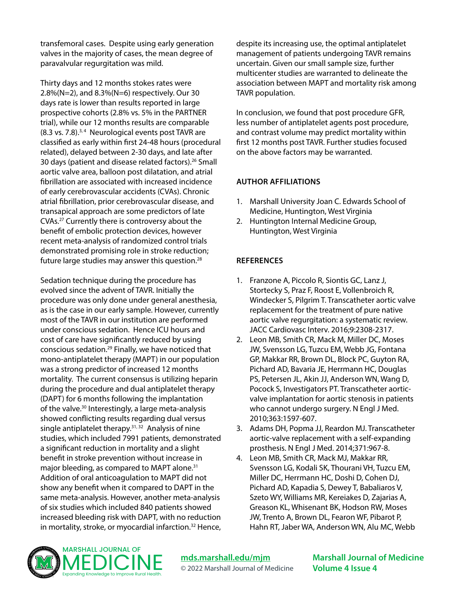transfemoral cases. Despite using early generation valves in the majority of cases, the mean degree of paravalvular regurgitation was mild.

Thirty days and 12 months stokes rates were 2.8%(N=2), and 8.3%(N=6) respectively. Our 30 days rate is lower than results reported in large prospective cohorts (2.8% vs. 5% in the PARTNER trial), while our 12 months results are comparable  $(8.3 \text{ vs. } 7.8).$ <sup>3,4</sup> Neurological events post TAVR are classified as early within first 24-48 hours (procedural related), delayed between 2-30 days, and late after 30 days (patient and disease related factors).26 Small aortic valve area, balloon post dilatation, and atrial fibrillation are associated with increased incidence of early cerebrovascular accidents (CVAs). Chronic atrial fibrillation, prior cerebrovascular disease, and transapical approach are some predictors of late CVAs.27 Currently there is controversy about the benefit of embolic protection devices, however recent meta-analysis of randomized control trials demonstrated promising role in stroke reduction; future large studies may answer this question.28

Sedation technique during the procedure has evolved since the advent of TAVR. Initially the procedure was only done under general anesthesia, as is the case in our early sample. However, currently most of the TAVR in our institution are performed under conscious sedation. Hence ICU hours and cost of care have significantly reduced by using conscious sedation.29 Finally, we have noticed that mono-antiplatelet therapy (MAPT) in our population was a strong predictor of increased 12 months mortality. The current consensus is utilizing heparin during the procedure and dual antiplatelet therapy (DAPT) for 6 months following the implantation of the valve.30 Interestingly, a large meta-analysis showed conflicting results regarding dual versus single antiplatelet therapy. $31, 32$  Analysis of nine studies, which included 7991 patients, demonstrated a significant reduction in mortality and a slight benefit in stroke prevention without increase in major bleeding, as compared to MAPT alone.<sup>31</sup> Addition of oral anticoagulation to MAPT did not show any benefit when it compared to DAPT in the same meta-analysis. However, another meta-analysis of six studies which included 840 patients showed increased bleeding risk with DAPT, with no reduction in mortality, stroke, or myocardial infarction.<sup>32</sup> Hence, despite its increasing use, the optimal antiplatelet management of patients undergoing TAVR remains uncertain. Given our small sample size, further multicenter studies are warranted to delineate the association between MAPT and mortality risk among TAVR population.

In conclusion, we found that post procedure GFR, less number of antiplatelet agents post procedure, and contrast volume may predict mortality within first 12 months post TAVR. Further studies focused on the above factors may be warranted.

## **AUTHOR AFFILIATIONS**

- 1. Marshall University Joan C. Edwards School of Medicine, Huntington, West Virginia
- 2. Huntington Internal Medicine Group, Huntington, West Virginia

## **REFERENCES**

- 1. Franzone A, Piccolo R, Siontis GC, Lanz J, Stortecky S, Praz F, Roost E, Vollenbroich R, Windecker S, Pilgrim T. Transcatheter aortic valve replacement for the treatment of pure native aortic valve regurgitation: a systematic review. JACC Cardiovasc Interv. 2016;9:2308-2317.
- 2. Leon MB, Smith CR, Mack M, Miller DC, Moses JW, Svensson LG, Tuzcu EM, Webb JG, Fontana GP, Makkar RR, Brown DL, Block PC, Guyton RA, Pichard AD, Bavaria JE, Herrmann HC, Douglas PS, Petersen JL, Akin JJ, Anderson WN, Wang D, Pocock S, Investigators PT. Transcatheter aorticvalve implantation for aortic stenosis in patients who cannot undergo surgery. N Engl J Med. 2010;363:1597-607.
- 3. Adams DH, Popma JJ, Reardon MJ. Transcatheter aortic-valve replacement with a self-expanding prosthesis. N Engl J Med. 2014;371:967-8.
- 4. Leon MB, Smith CR, Mack MJ, Makkar RR, Svensson LG, Kodali SK, Thourani VH, Tuzcu EM, Miller DC, Herrmann HC, Doshi D, Cohen DJ, Pichard AD, Kapadia S, Dewey T, Babaliaros V, Szeto WY, Williams MR, Kereiakes D, Zajarias A, Greason KL, Whisenant BK, Hodson RW, Moses JW, Trento A, Brown DL, Fearon WF, Pibarot P, Hahn RT, Jaber WA, Anderson WN, Alu MC, Webb



**[mds.marshall.edu/mjm](https://mds.marshall.edu/mjm/)** © 2022 Marshall Journal of Medicine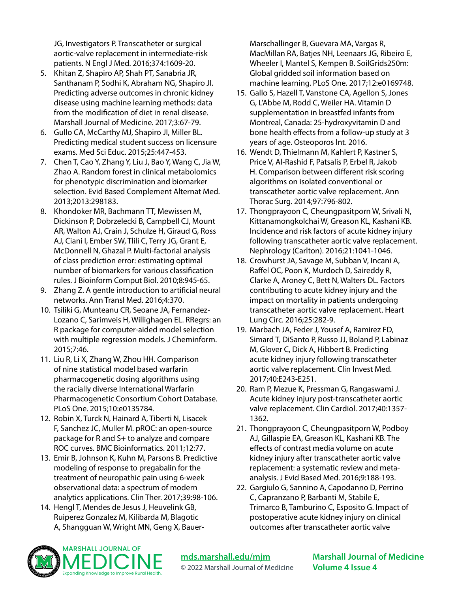JG, Investigators P. Transcatheter or surgical aortic-valve replacement in intermediate-risk patients. N Engl J Med. 2016;374:1609-20.

- 5. Khitan Z, Shapiro AP, Shah PT, Sanabria JR, Santhanam P, Sodhi K, Abraham NG, Shapiro JI. Predicting adverse outcomes in chronic kidney disease using machine learning methods: data from the modification of diet in renal disease. Marshall Journal of Medicine. 2017;3:67-79.
- 6. Gullo CA, McCarthy MJ, Shapiro JI, Miller BL. Predicting medical student success on licensure exams. Med Sci Educ. 2015;25:447-453.
- 7. Chen T, Cao Y, Zhang Y, Liu J, Bao Y, Wang C, Jia W, Zhao A. Random forest in clinical metabolomics for phenotypic discrimination and biomarker selection. Evid Based Complement Alternat Med. 2013;2013:298183.
- 8. Khondoker MR, Bachmann TT, Mewissen M, Dickinson P, Dobrzelecki B, Campbell CJ, Mount AR, Walton AJ, Crain J, Schulze H, Giraud G, Ross AJ, Ciani I, Ember SW, Tlili C, Terry JG, Grant E, McDonnell N, Ghazal P. Multi-factorial analysis of class prediction error: estimating optimal number of biomarkers for various classification rules. J Bioinform Comput Biol. 2010;8:945-65.
- 9. Zhang Z. A gentle introduction to artificial neural networks. Ann Transl Med. 2016;4:370.
- 10. Tsiliki G, Munteanu CR, Seoane JA, Fernandez-Lozano C, Sarimveis H, Willighagen EL. RRegrs: an R package for computer-aided model selection with multiple regression models. J Cheminform. 2015;7:46.
- 11. Liu R, Li X, Zhang W, Zhou HH. Comparison of nine statistical model based warfarin pharmacogenetic dosing algorithms using the racially diverse International Warfarin Pharmacogenetic Consortium Cohort Database. PLoS One. 2015;10:e0135784.
- 12. Robin X, Turck N, Hainard A, Tiberti N, Lisacek F, Sanchez JC, Muller M. pROC: an open-source package for R and S+ to analyze and compare ROC curves. BMC Bioinformatics. 2011;12:77.
- 13. Emir B, Johnson K, Kuhn M, Parsons B. Predictive modeling of response to pregabalin for the treatment of neuropathic pain using 6-week observational data: a spectrum of modern analytics applications. Clin Ther. 2017;39:98-106.
- 14. Hengl T, Mendes de Jesus J, Heuvelink GB, Ruiperez Gonzalez M, Kilibarda M, Blagotic A, Shangguan W, Wright MN, Geng X, Bauer-

Marschallinger B, Guevara MA, Vargas R, MacMillan RA, Batjes NH, Leenaars JG, Ribeiro E, Wheeler I, Mantel S, Kempen B. SoilGrids250m: Global gridded soil information based on machine learning. PLoS One. 2017;12:e0169748.

- 15. Gallo S, Hazell T, Vanstone CA, Agellon S, Jones G, L'Abbe M, Rodd C, Weiler HA. Vitamin D supplementation in breastfed infants from Montreal, Canada: 25-hydroxyvitamin D and bone health effects from a follow-up study at 3 years of age. Osteoporos Int. 2016.
- 16. Wendt D, Thielmann M, Kahlert P, Kastner S, Price V, Al-Rashid F, Patsalis P, Erbel R, Jakob H. Comparison between different risk scoring algorithms on isolated conventional or transcatheter aortic valve replacement. Ann Thorac Surg. 2014;97:796-802.
- 17. Thongprayoon C, Cheungpasitporn W, Srivali N, Kittanamongkolchai W, Greason KL, Kashani KB. Incidence and risk factors of acute kidney injury following transcatheter aortic valve replacement. Nephrology (Carlton). 2016;21:1041-1046.
- 18. Crowhurst JA, Savage M, Subban V, Incani A, Raffel OC, Poon K, Murdoch D, Saireddy R, Clarke A, Aroney C, Bett N, Walters DL. Factors contributing to acute kidney injury and the impact on mortality in patients undergoing transcatheter aortic valve replacement. Heart Lung Circ. 2016;25:282-9.
- 19. Marbach JA, Feder J, Yousef A, Ramirez FD, Simard T, DiSanto P, Russo JJ, Boland P, Labinaz M, Glover C, Dick A, Hibbert B. Predicting acute kidney injury following transcatheter aortic valve replacement. Clin Invest Med. 2017;40:E243-E251.
- 20. Ram P, Mezue K, Pressman G, Rangaswami J. Acute kidney injury post-transcatheter aortic valve replacement. Clin Cardiol. 2017;40:1357- 1362.
- 21. Thongprayoon C, Cheungpasitporn W, Podboy AJ, Gillaspie EA, Greason KL, Kashani KB. The effects of contrast media volume on acute kidney injury after transcatheter aortic valve replacement: a systematic review and metaanalysis. J Evid Based Med. 2016;9:188-193.
- 22. Gargiulo G, Sannino A, Capodanno D, Perrino C, Capranzano P, Barbanti M, Stabile E, Trimarco B, Tamburino C, Esposito G. Impact of postoperative acute kidney injury on clinical outcomes after transcatheter aortic valve



**[mds.marshall.edu/mjm](https://mds.marshall.edu/mjm/)** © 2022 Marshall Journal of Medicine